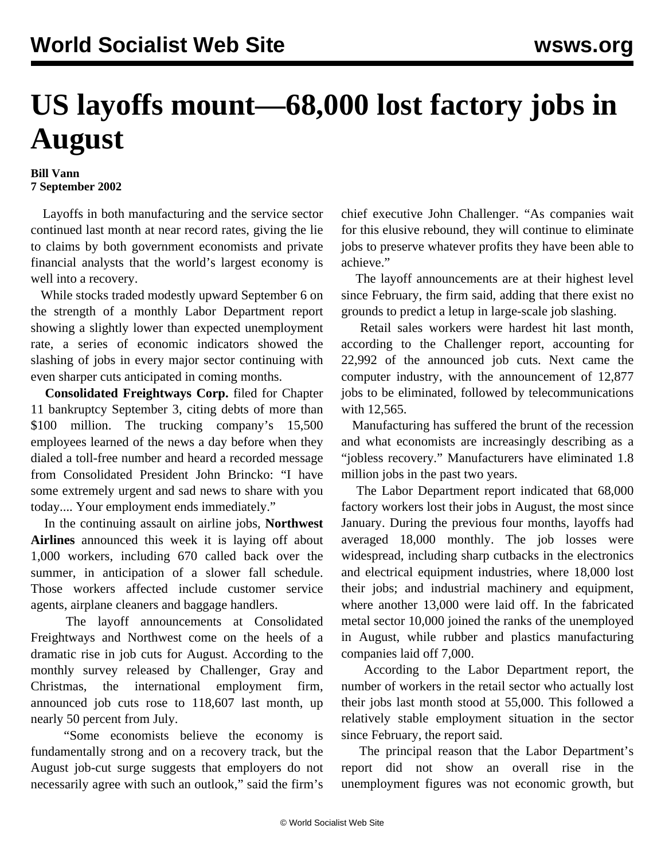## **US layoffs mount—68,000 lost factory jobs in August**

## **Bill Vann 7 September 2002**

 Layoffs in both manufacturing and the service sector continued last month at near record rates, giving the lie to claims by both government economists and private financial analysts that the world's largest economy is well into a recovery.

 While stocks traded modestly upward September 6 on the strength of a monthly Labor Department report showing a slightly lower than expected unemployment rate, a series of economic indicators showed the slashing of jobs in every major sector continuing with even sharper cuts anticipated in coming months.

 **Consolidated Freightways Corp.** filed for Chapter 11 bankruptcy September 3, citing debts of more than \$100 million. The trucking company's 15,500 employees learned of the news a day before when they dialed a toll-free number and heard a recorded message from Consolidated President John Brincko: "I have some extremely urgent and sad news to share with you today.... Your employment ends immediately."

 In the continuing assault on airline jobs, **Northwest Airlines** announced this week it is laying off about 1,000 workers, including 670 called back over the summer, in anticipation of a slower fall schedule. Those workers affected include customer service agents, airplane cleaners and baggage handlers.

 The layoff announcements at Consolidated Freightways and Northwest come on the heels of a dramatic rise in job cuts for August. According to the monthly survey released by Challenger, Gray and Christmas, the international employment firm, announced job cuts rose to 118,607 last month, up nearly 50 percent from July.

 "Some economists believe the economy is fundamentally strong and on a recovery track, but the August job-cut surge suggests that employers do not necessarily agree with such an outlook," said the firm's

chief executive John Challenger. "As companies wait for this elusive rebound, they will continue to eliminate jobs to preserve whatever profits they have been able to achieve."

 The layoff announcements are at their highest level since February, the firm said, adding that there exist no grounds to predict a letup in large-scale job slashing.

 Retail sales workers were hardest hit last month, according to the Challenger report, accounting for 22,992 of the announced job cuts. Next came the computer industry, with the announcement of 12,877 jobs to be eliminated, followed by telecommunications with 12,565.

 Manufacturing has suffered the brunt of the recession and what economists are increasingly describing as a "jobless recovery." Manufacturers have eliminated 1.8 million jobs in the past two years.

 The Labor Department report indicated that 68,000 factory workers lost their jobs in August, the most since January. During the previous four months, layoffs had averaged 18,000 monthly. The job losses were widespread, including sharp cutbacks in the electronics and electrical equipment industries, where 18,000 lost their jobs; and industrial machinery and equipment, where another 13,000 were laid off. In the fabricated metal sector 10,000 joined the ranks of the unemployed in August, while rubber and plastics manufacturing companies laid off 7,000.

 According to the Labor Department report, the number of workers in the retail sector who actually lost their jobs last month stood at 55,000. This followed a relatively stable employment situation in the sector since February, the report said.

 The principal reason that the Labor Department's report did not show an overall rise in the unemployment figures was not economic growth, but